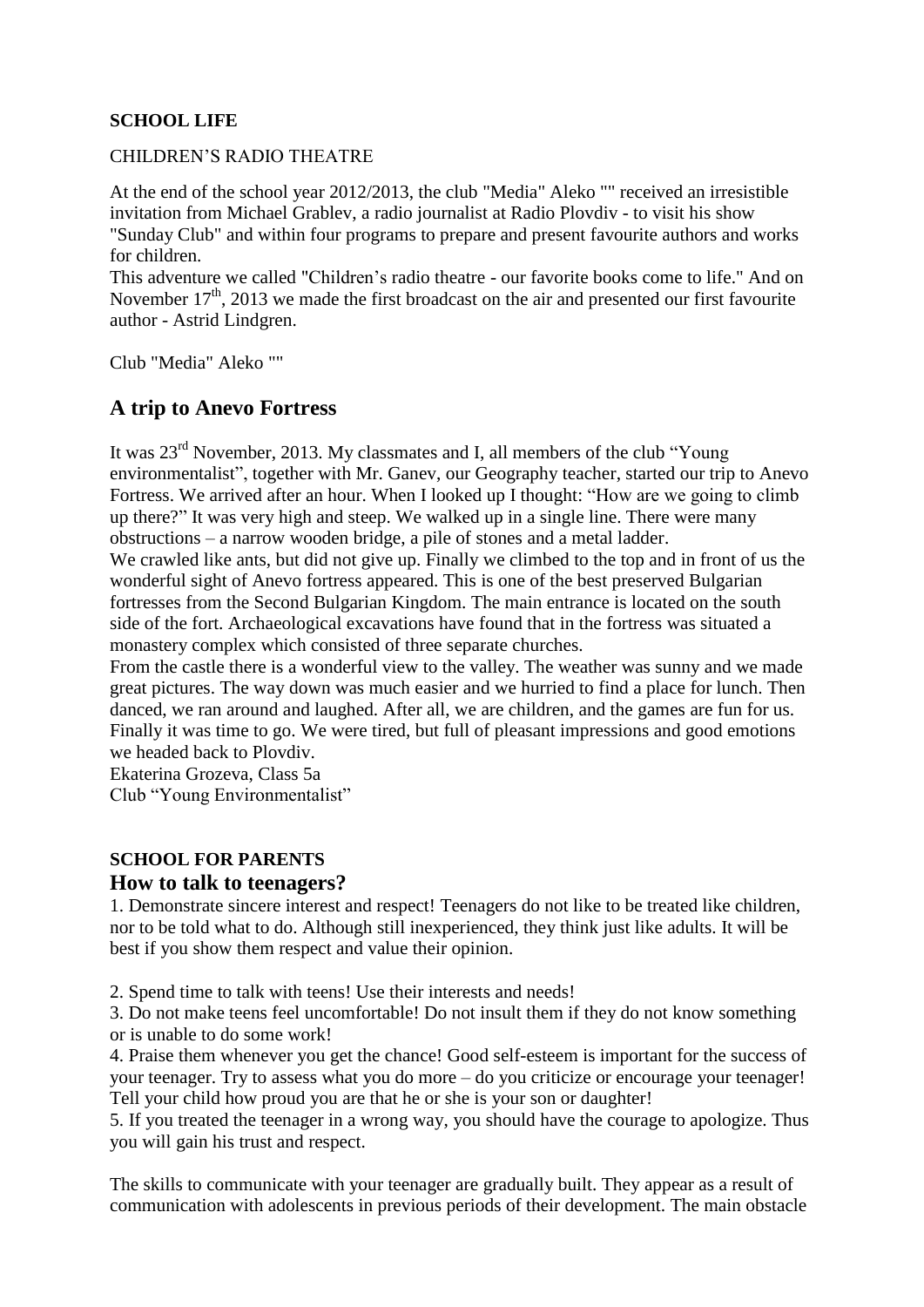### **SCHOOL LIFE**

#### CHILDREN'S RADIO THEATRE

At the end of the school year 2012/2013, the club "Media" Aleko "" received an irresistible invitation from Michael Grablev, a radio journalist at Radio Plovdiv - to visit his show "Sunday Club" and within four programs to prepare and present favourite authors and works for children.

This adventure we called "Children's radio theatre - our favorite books come to life." And on November  $17<sup>th</sup>$ , 2013 we made the first broadcast on the air and presented our first favourite author - Astrid Lindgren.

Club "Media" Aleko ""

## **A trip to Anevo Fortress**

It was  $23<sup>rd</sup>$  November, 2013. My classmates and I, all members of the club "Young" environmentalist", together with Mr. Ganev, our Geography teacher, started our trip to Anevo Fortress. We arrived after an hour. When I looked up I thought: "How are we going to climb up there?" It was very high and steep. We walked up in a single line. There were many obstructions – a narrow wooden bridge, a pile of stones and a metal ladder.

We crawled like ants, but did not give up. Finally we climbed to the top and in front of us the wonderful sight of Anevo fortress appeared. This is one of the best preserved Bulgarian fortresses from the Second Bulgarian Kingdom. The main entrance is located on the south side of the fort. Archaeological excavations have found that in the fortress was situated a monastery complex which consisted of three separate churches.

From the castle there is a wonderful view to the valley. The weather was sunny and we made great pictures. The way down was much easier and we hurried to find a place for lunch. Then danced, we ran around and laughed. After all, we are children, and the games are fun for us. Finally it was time to go. We were tired, but full of pleasant impressions and good emotions we headed back to Plovdiv.

Ekaterina Grozeva, Class 5a

Club "Young Environmentalist"

### **SCHOOL FOR PARENTS**

### **How to talk to teenagers?**

1. Demonstrate sincere interest and respect! Teenagers do not like to be treated like children, nor to be told what to do. Although still inexperienced, they think just like adults. It will be best if you show them respect and value their opinion.

2. Spend time to talk with teens! Use their interests and needs!

3. Do not make teens feel uncomfortable! Do not insult them if they do not know something or is unable to do some work!

4. Praise them whenever you get the chance! Good self-esteem is important for the success of your teenager. Try to assess what you do more – do you criticize or encourage your teenager! Tell your child how proud you are that he or she is your son or daughter!

5. If you treated the teenager in a wrong way, you should have the courage to apologize. Thus you will gain his trust and respect.

The skills to communicate with your teenager are gradually built. They appear as a result of communication with adolescents in previous periods of their development. The main obstacle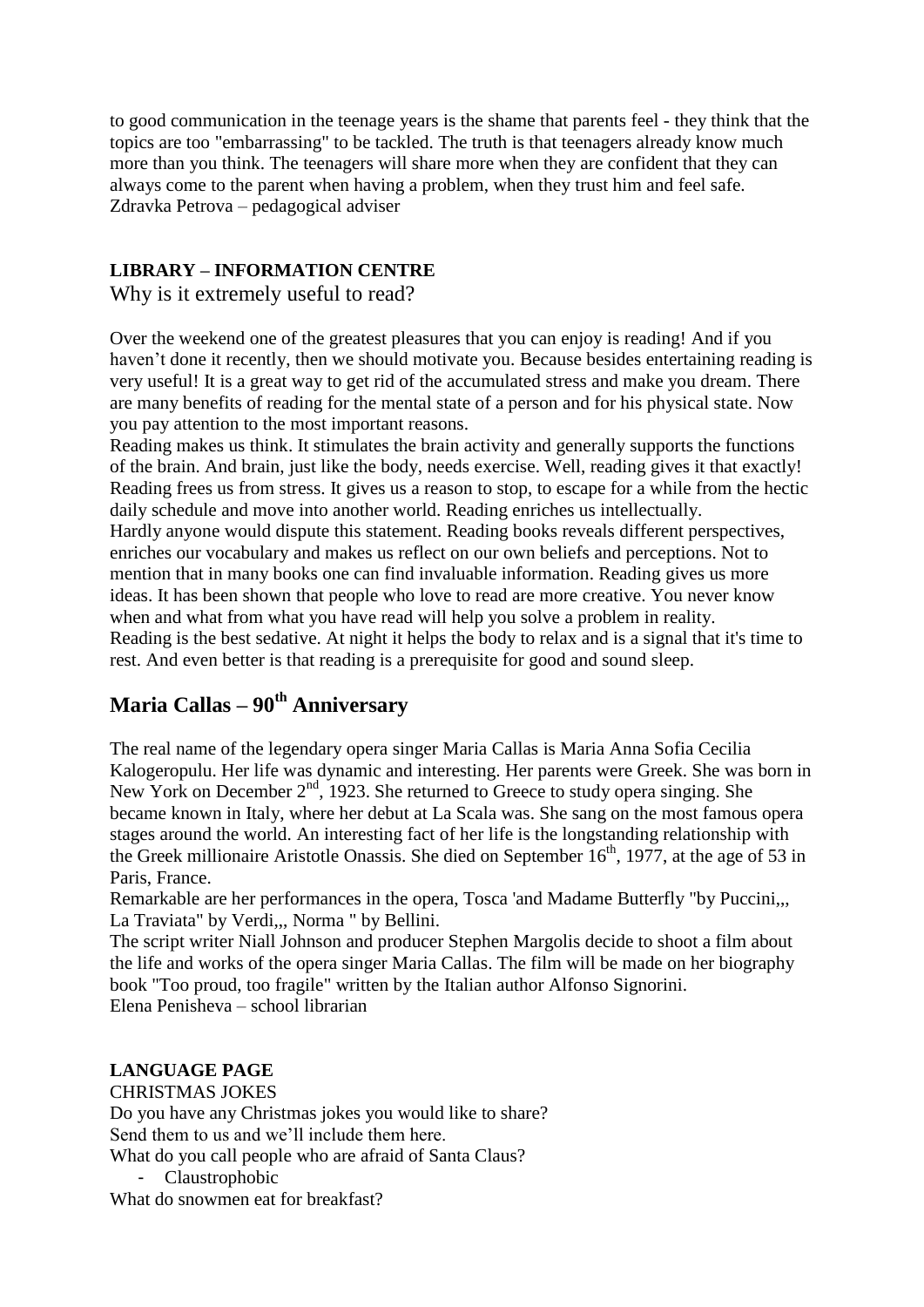to good communication in the teenage years is the shame that parents feel - they think that the topics are too "embarrassing" to be tackled. The truth is that teenagers already know much more than you think. The teenagers will share more when they are confident that they can always come to the parent when having a problem, when they trust him and feel safe. Zdravka Petrova – pedagogical adviser

## **LIBRARY – INFORMATION CENTRE**

Why is it extremely useful to read?

Over the weekend one of the greatest pleasures that you can enjoy is reading! And if you haven't done it recently, then we should motivate you. Because besides entertaining reading is very useful! It is a great way to get rid of the accumulated stress and make you dream. There are many benefits of reading for the mental state of a person and for his physical state. Now you pay attention to the most important reasons.

Reading makes us think. It stimulates the brain activity and generally supports the functions of the brain. And brain, just like the body, needs exercise. Well, reading gives it that exactly! Reading frees us from stress. It gives us a reason to stop, to escape for a while from the hectic daily schedule and move into another world. Reading enriches us intellectually. Hardly anyone would dispute this statement. Reading books reveals different perspectives, enriches our vocabulary and makes us reflect on our own beliefs and perceptions. Not to mention that in many books one can find invaluable information. Reading gives us more ideas. It has been shown that people who love to read are more creative. You never know when and what from what you have read will help you solve a problem in reality. Reading is the best sedative. At night it helps the body to relax and is a signal that it's time to rest. And even better is that reading is a prerequisite for good and sound sleep.

# **Maria Callas – 90th Anniversary**

The real name of the legendary opera singer Maria Callas is Maria Anna Sofia Cecilia Kalogeropulu. Her life was dynamic and interesting. Her parents were Greek. She was born in New York on December  $2<sup>nd</sup>$ , 1923. She returned to Greece to study opera singing. She became known in Italy, where her debut at La Scala was. She sang on the most famous opera stages around the world. An interesting fact of her life is the longstanding relationship with the Greek millionaire Aristotle Onassis. She died on September  $16<sup>th</sup>$ , 1977, at the age of 53 in Paris, France.

Remarkable are her performances in the opera, Tosca 'and Madame Butterfly "by Puccini,,, La Traviata" by Verdi,,, Norma " by Bellini.

The script writer Niall Johnson and producer Stephen Margolis decide to shoot a film about the life and works of the opera singer Maria Callas. The film will be made on her biography book "Too proud, too fragile" written by the Italian author Alfonso Signorini. Elena Penisheva – school librarian

### **LANGUAGE PAGE**

CHRISTMAS JOKES Do you have any Christmas jokes you would like to share? Send them to us and we'll include them here. What do you call people who are afraid of Santa Claus?

- Claustrophobic

What do snowmen eat for breakfast?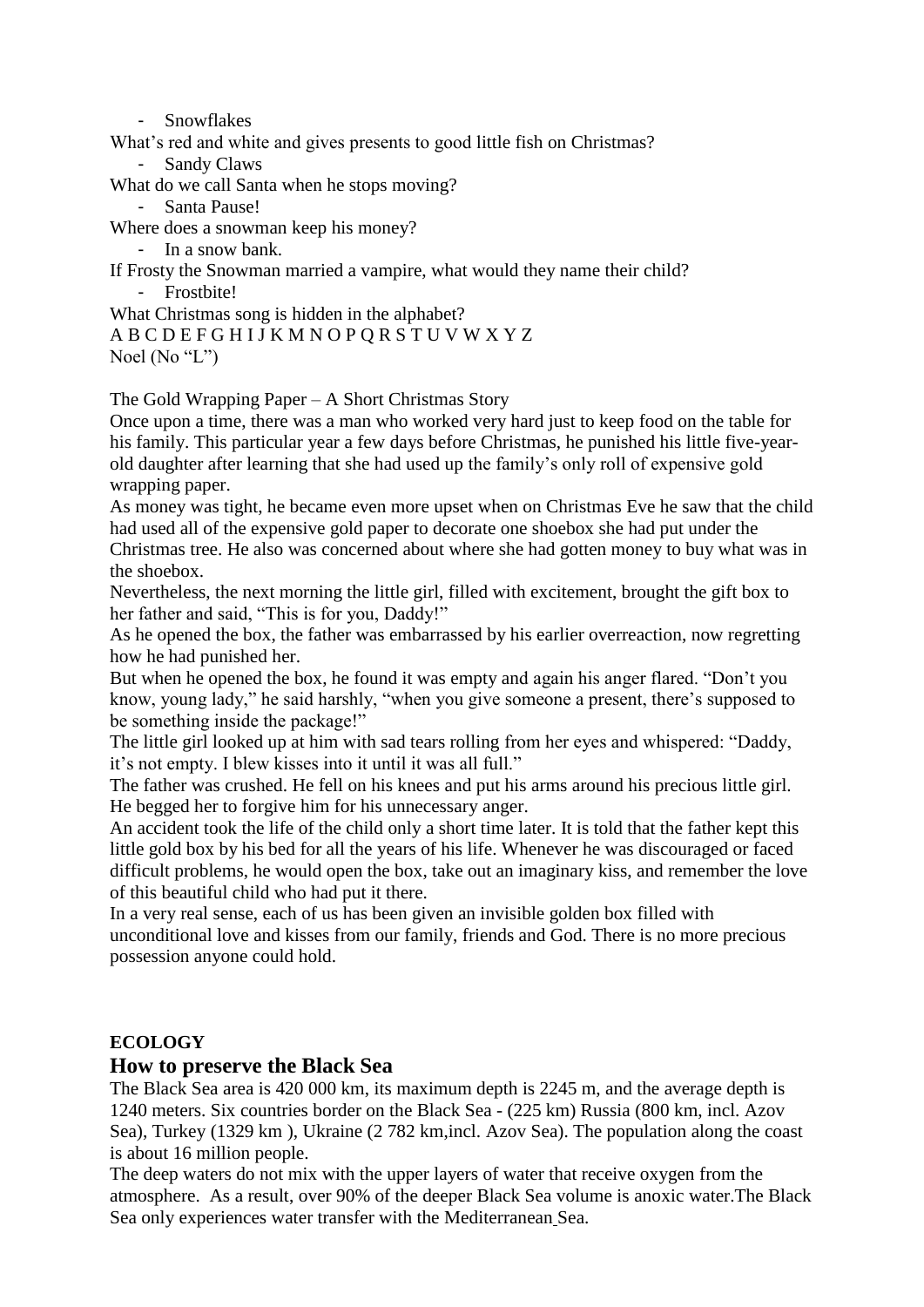- Snowflakes

What's red and white and gives presents to good little fish on Christmas?

- Sandy Claws

What do we call Santa when he stops moving?

- Santa Pause!

Where does a snowman keep his money?

- In a snow bank.
- If Frosty the Snowman married a vampire, what would they name their child? - Frostbite!

What Christmas song is hidden in the alphabet?

A B C D E F G H I J K M N O P Q R S T U V W X Y Z

Noel (No "L")

The Gold Wrapping Paper – A Short Christmas Story

Once upon a time, there was a man who worked very hard just to keep food on the table for his family. This particular year a few days before Christmas, he punished his little five-yearold daughter after learning that she had used up the family's only roll of expensive gold wrapping paper.

As money was tight, he became even more upset when on Christmas Eve he saw that the child had used all of the expensive gold paper to decorate one shoebox she had put under the Christmas tree. He also was concerned about where she had gotten money to buy what was in the shoebox.

Nevertheless, the next morning the little girl, filled with excitement, brought the gift box to her father and said, "This is for you, Daddy!"

As he opened the box, the father was embarrassed by his earlier overreaction, now regretting how he had punished her.

But when he opened the box, he found it was empty and again his anger flared. "Don't you know, young lady," he said harshly, "when you give someone a present, there's supposed to be something inside the package!"

The little girl looked up at him with sad tears rolling from her eyes and whispered: "Daddy, it's not empty. I blew kisses into it until it was all full."

The father was crushed. He fell on his knees and put his arms around his precious little girl. He begged her to forgive him for his unnecessary anger.

An accident took the life of the child only a short time later. It is told that the father kept this little gold box by his bed for all the years of his life. Whenever he was discouraged or faced difficult problems, he would open the box, take out an imaginary kiss, and remember the love of this beautiful child who had put it there.

In a very real sense, each of us has been given an invisible golden box filled with unconditional love and kisses from our family, friends and God. There is no more precious possession anyone could hold.

### **ECOLOGY**

### **How to preserve the Black Sea**

The Black Sea area is 420 000 km, its maximum depth is 2245 m, and the average depth is 1240 meters. Six countries border on the Black Sea - (225 km) Russia (800 km, incl. Azov Sea), Turkey (1329 km ), Ukraine (2 782 km,incl. Azov Sea). The population along the coast is about 16 million people.

The deep waters do not mix with the upper layers of water that receive oxygen from the atmosphere. As a result, over 90% of the deeper Black Sea volume is [anoxic](http://en.wikipedia.org/wiki/Anoxic) water.The Black Sea only experiences water transfer with the [Mediterranean](http://en.wikipedia.org/wiki/Mediterranean_Sea) Sea.